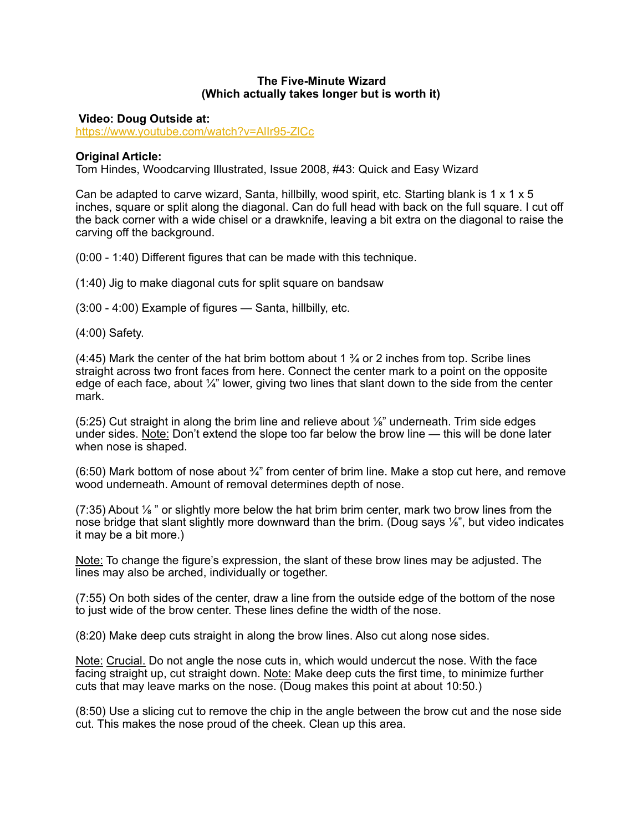## **The Five-Minute Wizard (Which actually takes longer but is worth it)**

 **Video: Doug Outside at:** 

<https://www.youtube.com/watch?v=AlIr95-ZlCc>

## **Original Article:**

Tom Hindes, Woodcarving Illustrated, Issue 2008, #43: Quick and Easy Wizard

Can be adapted to carve wizard, Santa, hillbilly, wood spirit, etc. Starting blank is 1  $\times$  1  $\times$  5 inches, square or split along the diagonal. Can do full head with back on the full square. I cut off the back corner with a wide chisel or a drawknife, leaving a bit extra on the diagonal to raise the carving off the background.

(0:00 - 1:40) Different figures that can be made with this technique.

(1:40) Jig to make diagonal cuts for split square on bandsaw

(3:00 - 4:00) Example of figures — Santa, hillbilly, etc.

(4:00) Safety.

(4:45) Mark the center of the hat brim bottom about 1  $\frac{3}{4}$  or 2 inches from top. Scribe lines straight across two front faces from here. Connect the center mark to a point on the opposite edge of each face, about  $\frac{1}{4}$ " lower, giving two lines that slant down to the side from the center mark.

(5:25) Cut straight in along the brim line and relieve about ⅛" underneath. Trim side edges under sides. Note: Don't extend the slope too far below the brow line — this will be done later when nose is shaped.

 $(6:50)$  Mark bottom of nose about  $\frac{3}{4}$ " from center of brim line. Make a stop cut here, and remove wood underneath. Amount of removal determines depth of nose.

(7:35) About ⅛ " or slightly more below the hat brim brim center, mark two brow lines from the nose bridge that slant slightly more downward than the brim. (Doug says  $\frac{1}{8}$ ", but video indicates it may be a bit more.)

Note: To change the figure's expression, the slant of these brow lines may be adjusted. The lines may also be arched, individually or together.

(7:55) On both sides of the center, draw a line from the outside edge of the bottom of the nose to just wide of the brow center. These lines define the width of the nose.

(8:20) Make deep cuts straight in along the brow lines. Also cut along nose sides.

Note: Crucial. Do not angle the nose cuts in, which would undercut the nose. With the face facing straight up, cut straight down. Note: Make deep cuts the first time, to minimize further cuts that may leave marks on the nose. (Doug makes this point at about 10:50.)

(8:50) Use a slicing cut to remove the chip in the angle between the brow cut and the nose side cut. This makes the nose proud of the cheek. Clean up this area.